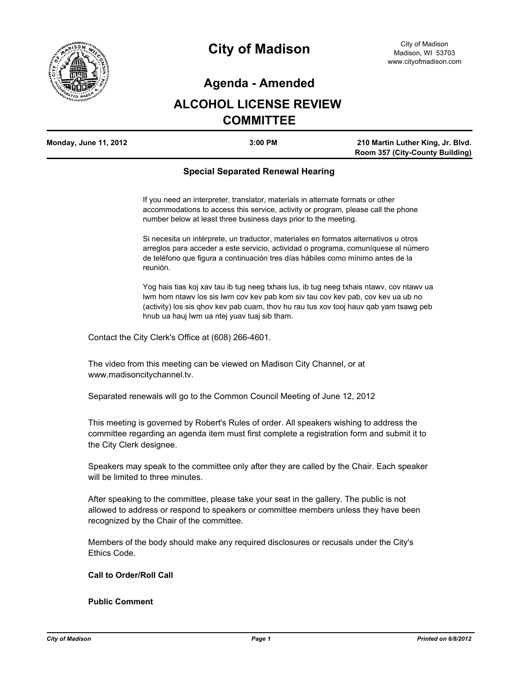

## **Agenda - Amended**

# **ALCOHOL LICENSE REVIEW COMMITTEE**

| <b>Monday, June 11, 2012</b> | $3:00$ PM | 210 Martin Luther King, Jr. Blvd. |
|------------------------------|-----------|-----------------------------------|
|                              |           | Room 357 (City-County Building)   |

### **Special Separated Renewal Hearing**

If you need an interpreter, translator, materials in alternate formats or other accommodations to access this service, activity or program, please call the phone number below at least three business days prior to the meeting.

Si necesita un intérprete, un traductor, materiales en formatos alternativos u otros arreglos para acceder a este servicio, actividad o programa, comuníquese al número de teléfono que figura a continuación tres días hábiles como mínimo antes de la reunión.

Yog hais tias koj xav tau ib tug neeg txhais lus, ib tug neeg txhais ntawv, cov ntawv ua lwm hom ntawv los sis lwm cov kev pab kom siv tau cov kev pab, cov kev ua ub no (activity) los sis qhov kev pab cuam, thov hu rau tus xov tooj hauv qab yam tsawg peb hnub ua hauj lwm ua ntej yuav tuaj sib tham.

Contact the City Clerk's Office at (608) 266-4601.

The video from this meeting can be viewed on Madison City Channel, or at www.madisoncitychannel.tv.

Separated renewals will go to the Common Council Meeting of June 12, 2012

This meeting is governed by Robert's Rules of order. All speakers wishing to address the committee regarding an agenda item must first complete a registration form and submit it to the City Clerk designee.

Speakers may speak to the committee only after they are called by the Chair. Each speaker will be limited to three minutes.

After speaking to the committee, please take your seat in the gallery. The public is not allowed to address or respond to speakers or committee members unless they have been recognized by the Chair of the committee.

Members of the body should make any required disclosures or recusals under the City's Ethics Code.

**Call to Order/Roll Call**

**Public Comment**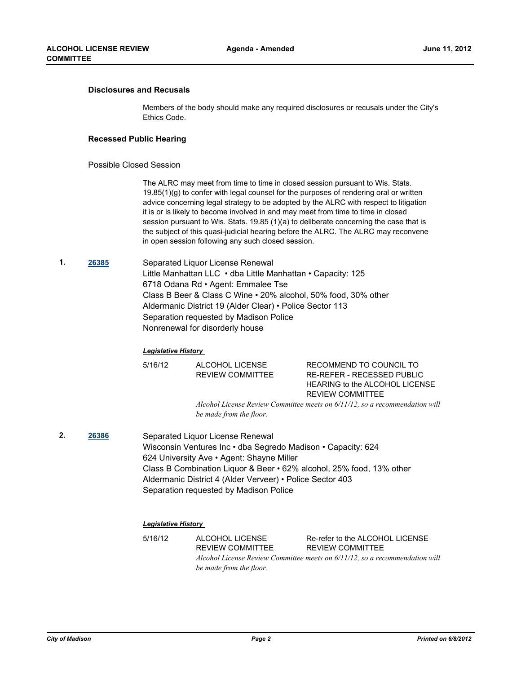#### **Disclosures and Recusals**

Members of the body should make any required disclosures or recusals under the City's Ethics Code.

#### **Recessed Public Hearing**

#### Possible Closed Session

The ALRC may meet from time to time in closed session pursuant to Wis. Stats. 19.85(1)(g) to confer with legal counsel for the purposes of rendering oral or written advice concerning legal strategy to be adopted by the ALRC with respect to litigation it is or is likely to become involved in and may meet from time to time in closed session pursuant to Wis. Stats. 19.85 (1)(a) to deliberate concerning the case that is the subject of this quasi-judicial hearing before the ALRC. The ALRC may reconvene in open session following any such closed session.

**1. [26385](http://madison.legistar.com/gateway.aspx?M=L&ID=29026)** Separated Liquor License Renewal Little Manhattan LLC • dba Little Manhattan • Capacity: 125 6718 Odana Rd • Agent: Emmalee Tse Class B Beer & Class C Wine • 20% alcohol, 50% food, 30% other Aldermanic District 19 (Alder Clear) • Police Sector 113 Separation requested by Madison Police Nonrenewal for disorderly house

#### *Legislative History*

5/16/12 ALCOHOL LICENSE REVIEW COMMITTEE RECOMMEND TO COUNCIL TO RE-REFER - RECESSED PUBLIC HEARING to the ALCOHOL LICENSE REVIEW COMMITTEE

*Alcohol License Review Committee meets on 6/11/12, so a recommendation will be made from the floor.*

**2. [26386](http://madison.legistar.com/gateway.aspx?M=L&ID=29028)** Separated Liquor License Renewal Wisconsin Ventures Inc • dba Segredo Madison • Capacity: 624 624 University Ave • Agent: Shayne Miller Class B Combination Liquor & Beer • 62% alcohol, 25% food, 13% other Aldermanic District 4 (Alder Verveer) • Police Sector 403 Separation requested by Madison Police

#### *Legislative History*

5/16/12 ALCOHOL LICENSE REVIEW COMMITTEE Re-refer to the ALCOHOL LICENSE REVIEW COMMITTEE *Alcohol License Review Committee meets on 6/11/12, so a recommendation will be made from the floor.*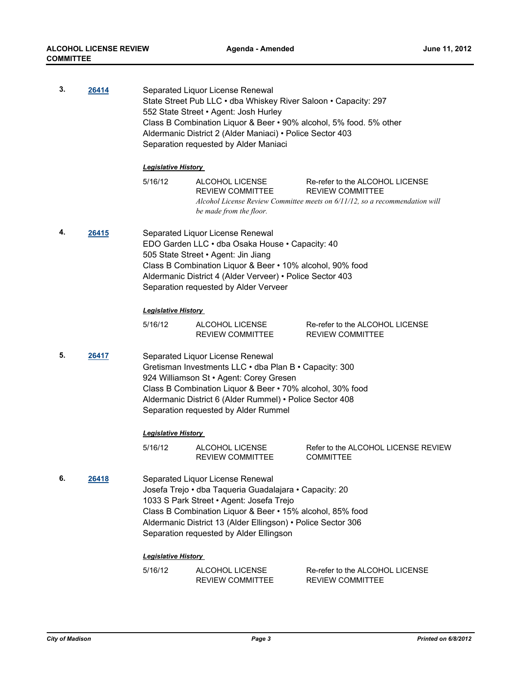| 3. | 26414 | Separated Liquor License Renewal<br>State Street Pub LLC . dba Whiskey River Saloon . Capacity: 297<br>552 State Street . Agent: Josh Hurley<br>Class B Combination Liquor & Beer • 90% alcohol, 5% food. 5% other<br>Aldermanic District 2 (Alder Maniaci) • Police Sector 403<br>Separation requested by Alder Maniaci |                                                                       |                                                                                                                                           |
|----|-------|--------------------------------------------------------------------------------------------------------------------------------------------------------------------------------------------------------------------------------------------------------------------------------------------------------------------------|-----------------------------------------------------------------------|-------------------------------------------------------------------------------------------------------------------------------------------|
|    |       | <b>Legislative History</b>                                                                                                                                                                                                                                                                                               |                                                                       |                                                                                                                                           |
|    |       | 5/16/12                                                                                                                                                                                                                                                                                                                  | ALCOHOL LICENSE<br><b>REVIEW COMMITTEE</b><br>be made from the floor. | Re-refer to the ALCOHOL LICENSE<br><b>REVIEW COMMITTEE</b><br>Alcohol License Review Committee meets on 6/11/12, so a recommendation will |
| 4. | 26415 | Separated Liquor License Renewal<br>EDO Garden LLC · dba Osaka House · Capacity: 40<br>505 State Street · Agent: Jin Jiang<br>Class B Combination Liquor & Beer • 10% alcohol, 90% food<br>Aldermanic District 4 (Alder Verveer) • Police Sector 403<br>Separation requested by Alder Verveer                            |                                                                       |                                                                                                                                           |
|    |       | <b>Legislative History</b>                                                                                                                                                                                                                                                                                               |                                                                       |                                                                                                                                           |
|    |       | 5/16/12                                                                                                                                                                                                                                                                                                                  | ALCOHOL LICENSE<br><b>REVIEW COMMITTEE</b>                            | Re-refer to the ALCOHOL LICENSE<br><b>REVIEW COMMITTEE</b>                                                                                |
| 5. | 26417 | Separated Liquor License Renewal<br>Gretisman Investments LLC . dba Plan B . Capacity: 300<br>924 Williamson St · Agent: Corey Gresen<br>Class B Combination Liquor & Beer • 70% alcohol, 30% food<br>Aldermanic District 6 (Alder Rummel) • Police Sector 408<br>Separation requested by Alder Rummel                   |                                                                       |                                                                                                                                           |
|    |       | <b>Legislative History</b>                                                                                                                                                                                                                                                                                               |                                                                       |                                                                                                                                           |
|    |       | 5/16/12                                                                                                                                                                                                                                                                                                                  | ALCOHOL LICENSE<br><b>REVIEW COMMITTEE</b>                            | Refer to the ALCOHOL LICENSE REVIEW<br><b>COMMITTEE</b>                                                                                   |
| 6. | 26418 | Separated Liquor License Renewal<br>Josefa Trejo • dba Taqueria Guadalajara • Capacity: 20<br>1033 S Park Street • Agent: Josefa Trejo<br>Class B Combination Liquor & Beer • 15% alcohol, 85% food<br>Aldermanic District 13 (Alder Ellingson) • Police Sector 306<br>Separation requested by Alder Ellingson           |                                                                       |                                                                                                                                           |
|    |       | <b>Legislative History</b>                                                                                                                                                                                                                                                                                               |                                                                       |                                                                                                                                           |
|    |       | 5/16/12                                                                                                                                                                                                                                                                                                                  | ALCOHOL LICENSE<br><b>REVIEW COMMITTEE</b>                            | Re-refer to the ALCOHOL LICENSE<br>REVIEW COMMITTEE                                                                                       |